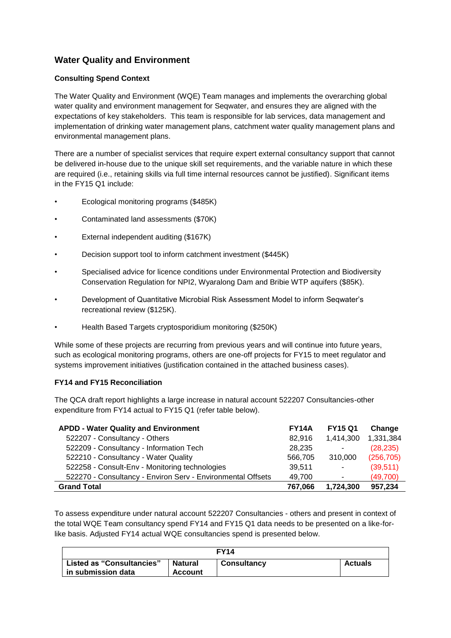# **Water Quality and Environment**

## **Consulting Spend Context**

The Water Quality and Environment (WQE) Team manages and implements the overarching global water quality and environment management for Seqwater, and ensures they are aligned with the expectations of key stakeholders. This team is responsible for lab services, data management and implementation of drinking water management plans, catchment water quality management plans and environmental management plans.

There are a number of specialist services that require expert external consultancy support that cannot be delivered in-house due to the unique skill set requirements, and the variable nature in which these are required (i.e., retaining skills via full time internal resources cannot be justified). Significant items in the FY15 Q1 include:

- Ecological monitoring programs (\$485K)
- Contaminated land assessments (\$70K)
- External independent auditing (\$167K)
- Decision support tool to inform catchment investment (\$445K)
- Specialised advice for licence conditions under Environmental Protection and Biodiversity Conservation Regulation for NPI2, Wyaralong Dam and Bribie WTP aquifers (\$85K).
- Development of Quantitative Microbial Risk Assessment Model to inform Seqwater's recreational review (\$125K).
- Health Based Targets cryptosporidium monitoring (\$250K)

While some of these projects are recurring from previous years and will continue into future years, such as ecological monitoring programs, others are one-off projects for FY15 to meet regulator and systems improvement initiatives (justification contained in the attached business cases).

#### **FY14 and FY15 Reconciliation**

The QCA draft report highlights a large increase in natural account 522207 Consultancies-other expenditure from FY14 actual to FY15 Q1 (refer table below).

| <b>APDD - Water Quality and Environment</b>                 | <b>FY14A</b> | <b>FY15 Q1</b> | Change     |
|-------------------------------------------------------------|--------------|----------------|------------|
| 522207 - Consultancy - Others                               | 82,916       | 1,414,300      | 1,331,384  |
| 522209 - Consultancy - Information Tech                     | 28,235       | ٠              | (28, 235)  |
| 522210 - Consultancy - Water Quality                        | 566,705      | 310,000        | (256, 705) |
| 522258 - Consult-Env - Monitoring technologies              | 39,511       | $\blacksquare$ | (39, 511)  |
| 522270 - Consultancy - Environ Serv - Environmental Offsets | 49,700       | $\sim$         | (49, 700)  |
| <b>Grand Total</b>                                          | 767,066      | 1,724,300      | 957,234    |

To assess expenditure under natural account 522207 Consultancies - others and present in context of the total WQE Team consultancy spend FY14 and FY15 Q1 data needs to be presented on a like-forlike basis. Adjusted FY14 actual WQE consultancies spend is presented below.

| FY14                                                   |                           |                    |                |
|--------------------------------------------------------|---------------------------|--------------------|----------------|
| <b>Listed as "Consultancies"</b><br>in submission data | Natural<br><b>Account</b> | <b>Consultancy</b> | <b>Actuals</b> |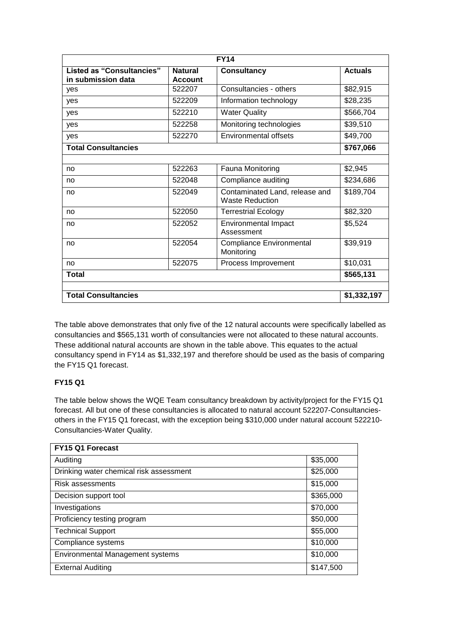| <b>FY14</b>                                            |                                  |                                                          |                |
|--------------------------------------------------------|----------------------------------|----------------------------------------------------------|----------------|
| <b>Listed as "Consultancies"</b><br>in submission data | <b>Natural</b><br><b>Account</b> | <b>Consultancy</b>                                       | <b>Actuals</b> |
| yes                                                    | 522207                           | Consultancies - others                                   | \$82,915       |
| yes                                                    | 522209                           | Information technology                                   | \$28,235       |
| yes                                                    | 522210                           | <b>Water Quality</b>                                     | \$566,704      |
| yes                                                    | 522258                           | Monitoring technologies                                  | \$39,510       |
| yes                                                    | 522270                           | <b>Environmental offsets</b>                             | \$49,700       |
| <b>Total Consultancies</b>                             |                                  |                                                          | \$767,066      |
|                                                        |                                  |                                                          |                |
| no                                                     | 522263                           | Fauna Monitoring                                         | \$2,945        |
| no                                                     | 522048                           | Compliance auditing                                      | \$234,686      |
| no                                                     | 522049                           | Contaminated Land, release and<br><b>Waste Reduction</b> | \$189,704      |
| no                                                     | 522050                           | <b>Terrestrial Ecology</b>                               | \$82,320       |
| no                                                     | 522052                           | <b>Environmental Impact</b><br>Assessment                | \$5,524        |
| no                                                     | 522054                           | <b>Compliance Environmental</b><br>Monitoring            | \$39,919       |
| no                                                     | 522075                           | Process Improvement                                      | \$10,031       |
| <b>Total</b>                                           |                                  |                                                          | \$565,131      |
|                                                        |                                  |                                                          |                |
| <b>Total Consultancies</b>                             |                                  |                                                          | \$1,332,197    |

The table above demonstrates that only five of the 12 natural accounts were specifically labelled as consultancies and \$565,131 worth of consultancies were not allocated to these natural accounts. These additional natural accounts are shown in the table above. This equates to the actual consultancy spend in FY14 as \$1,332,197 and therefore should be used as the basis of comparing the FY15 Q1 forecast.

# **FY15 Q1**

The table below shows the WQE Team consultancy breakdown by activity/project for the FY15 Q1 forecast. All but one of these consultancies is allocated to natural account 522207-Consultanciesothers in the FY15 Q1 forecast, with the exception being \$310,000 under natural account 522210*-* Consultancies-Water Quality.

| FY15 Q1 Forecast                        |           |
|-----------------------------------------|-----------|
| Auditing                                | \$35,000  |
| Drinking water chemical risk assessment | \$25,000  |
| Risk assessments                        | \$15,000  |
| Decision support tool                   | \$365,000 |
| Investigations                          | \$70,000  |
| Proficiency testing program             | \$50,000  |
| <b>Technical Support</b>                | \$55,000  |
| Compliance systems                      | \$10,000  |
| <b>Environmental Management systems</b> | \$10,000  |
| <b>External Auditing</b>                | \$147,500 |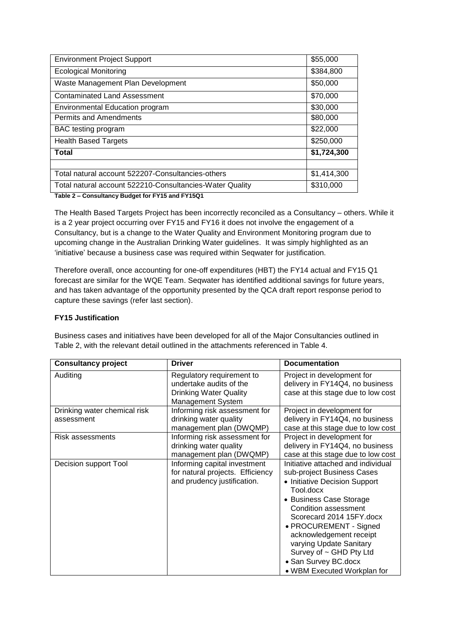| <b>Environment Project Support</b>                       | \$55,000    |
|----------------------------------------------------------|-------------|
| <b>Ecological Monitoring</b>                             | \$384,800   |
| Waste Management Plan Development                        | \$50,000    |
| <b>Contaminated Land Assessment</b>                      | \$70,000    |
| <b>Environmental Education program</b>                   | \$30,000    |
| <b>Permits and Amendments</b>                            | \$80,000    |
| BAC testing program                                      | \$22,000    |
| <b>Health Based Targets</b>                              | \$250,000   |
| <b>Total</b>                                             | \$1,724,300 |
|                                                          |             |
| Total natural account 522207-Consultancies-others        | \$1,414,300 |
| Total natural account 522210-Consultancies-Water Quality | \$310,000   |

**Table 2 – Consultancy Budget for FY15 and FY15Q1**

The Health Based Targets Project has been incorrectly reconciled as a Consultancy – others. While it is a 2 year project occurring over FY15 and FY16 it does not involve the engagement of a Consultancy, but is a change to the Water Quality and Environment Monitoring program due to upcoming change in the Australian Drinking Water guidelines. It was simply highlighted as an 'initiative' because a business case was required within Seqwater for justification.

Therefore overall, once accounting for one-off expenditures (HBT) the FY14 actual and FY15 Q1 forecast are similar for the WQE Team. Seqwater has identified additional savings for future years, and has taken advantage of the opportunity presented by the QCA draft report response period to capture these savings (refer last section).

### **FY15 Justification**

Business cases and initiatives have been developed for all of the Major Consultancies outlined in Table 2, with the relevant detail outlined in the attachments referenced in Table 4.

| <b>Consultancy project</b>                 | <b>Driver</b>                                                                                                     | <b>Documentation</b>                                                                                                                                                                                                                                                                                                                                            |
|--------------------------------------------|-------------------------------------------------------------------------------------------------------------------|-----------------------------------------------------------------------------------------------------------------------------------------------------------------------------------------------------------------------------------------------------------------------------------------------------------------------------------------------------------------|
| Auditing                                   | Regulatory requirement to<br>undertake audits of the<br><b>Drinking Water Quality</b><br><b>Management System</b> | Project in development for<br>delivery in FY14Q4, no business<br>case at this stage due to low cost                                                                                                                                                                                                                                                             |
| Drinking water chemical risk<br>assessment | Informing risk assessment for<br>drinking water quality<br>management plan (DWQMP)                                | Project in development for<br>delivery in FY14Q4, no business<br>case at this stage due to low cost                                                                                                                                                                                                                                                             |
| Risk assessments                           | Informing risk assessment for<br>drinking water quality<br>management plan (DWQMP)                                | Project in development for<br>delivery in FY14Q4, no business<br>case at this stage due to low cost                                                                                                                                                                                                                                                             |
| Decision support Tool                      | Informing capital investment<br>for natural projects. Efficiency<br>and prudency justification.                   | Initiative attached and individual<br>sub-project Business Cases<br>• Initiative Decision Support<br>Tool.docx<br>• Business Case Storage<br>Condition assessment<br>Scorecard 2014 15FY.docx<br>• PROCUREMENT - Signed<br>acknowledgement receipt<br>varying Update Sanitary<br>Survey of ~ GHD Pty Ltd<br>• San Survey BC.docx<br>• WBM Executed Workplan for |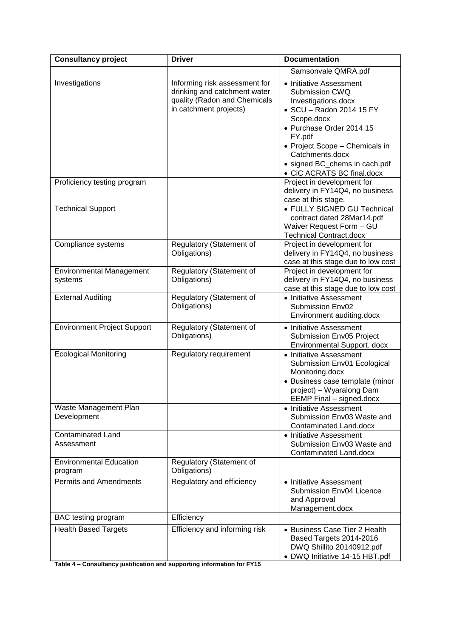| <b>Consultancy project</b>                 | <b>Driver</b>                                                                                                           | <b>Documentation</b>                                                                                                                                                                                                                                                 |
|--------------------------------------------|-------------------------------------------------------------------------------------------------------------------------|----------------------------------------------------------------------------------------------------------------------------------------------------------------------------------------------------------------------------------------------------------------------|
|                                            |                                                                                                                         | Samsonvale QMRA.pdf                                                                                                                                                                                                                                                  |
| Investigations                             | Informing risk assessment for<br>drinking and catchment water<br>quality (Radon and Chemicals<br>in catchment projects) | • Initiative Assessment<br>Submission CWQ<br>Investigations.docx<br>• SCU - Radon 2014 15 FY<br>Scope.docx<br>• Purchase Order 2014 15<br>FY.pdf<br>• Project Scope - Chemicals in<br>Catchments.docx<br>· signed BC_chems in cach.pdf<br>• CiC ACRATS BC final.docx |
| Proficiency testing program                |                                                                                                                         | Project in development for<br>delivery in FY14Q4, no business<br>case at this stage.                                                                                                                                                                                 |
| <b>Technical Support</b>                   |                                                                                                                         | • FULLY SIGNED GU Technical<br>contract dated 28Mar14.pdf<br>Waiver Request Form - GU<br><b>Technical Contract.docx</b>                                                                                                                                              |
| Compliance systems                         | Regulatory (Statement of<br>Obligations)                                                                                | Project in development for<br>delivery in FY14Q4, no business<br>case at this stage due to low cost                                                                                                                                                                  |
| <b>Environmental Management</b><br>systems | Regulatory (Statement of<br>Obligations)                                                                                | Project in development for<br>delivery in FY14Q4, no business<br>case at this stage due to low cost                                                                                                                                                                  |
| <b>External Auditing</b>                   | Regulatory (Statement of<br>Obligations)                                                                                | • Initiative Assessment<br>Submission Env02<br>Environment auditing.docx                                                                                                                                                                                             |
| <b>Environment Project Support</b>         | Regulatory (Statement of<br>Obligations)                                                                                | • Initiative Assessment<br>Submission Env05 Project<br>Environmental Support. docx                                                                                                                                                                                   |
| <b>Ecological Monitoring</b>               | Regulatory requirement                                                                                                  | • Initiative Assessment<br>Submission Env01 Ecological<br>Monitoring.docx<br>• Business case template (minor<br>project) - Wyaralong Dam<br>EEMP Final - signed.docx                                                                                                 |
| Waste Management Plan<br>Development       |                                                                                                                         | • Initiative Assessment<br>Submission Env03 Waste and<br>Contaminated Land.docx                                                                                                                                                                                      |
| Contaminated Land<br>Assessment            |                                                                                                                         | • Initiative Assessment<br>Submission Env03 Waste and<br>Contaminated Land.docx                                                                                                                                                                                      |
| <b>Environmental Education</b><br>program  | Regulatory (Statement of<br>Obligations)                                                                                |                                                                                                                                                                                                                                                                      |
| <b>Permits and Amendments</b>              | Regulatory and efficiency                                                                                               | • Initiative Assessment<br>Submission Env04 Licence<br>and Approval<br>Management.docx                                                                                                                                                                               |
| BAC testing program                        | Efficiency                                                                                                              |                                                                                                                                                                                                                                                                      |
| <b>Health Based Targets</b>                | Efficiency and informing risk                                                                                           | • Business Case Tier 2 Health<br>Based Targets 2014-2016<br>DWQ Shillito 20140912.pdf<br>• DWQ Initiative 14-15 HBT.pdf                                                                                                                                              |

**Table 4 – Consultancy justification and supporting information for FY15**